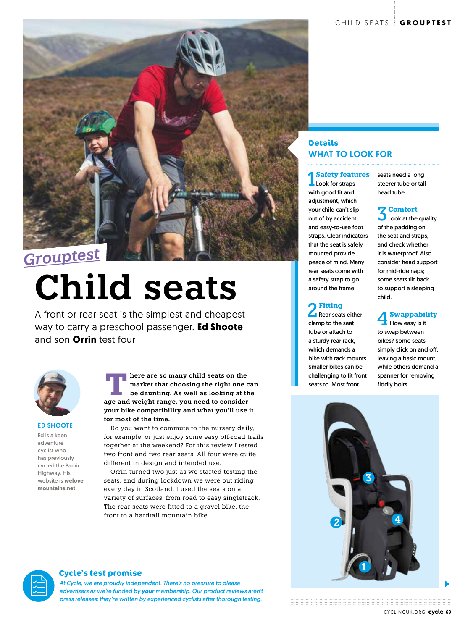

# **Child seats**

A front or rear seat is the simplest and cheapest way to carry a preschool passenger. **Ed Shoote** and son **Orrin** test four



#### ED SHOOTE

Ed is a keen adventure cyclist who has previously cycled the Pamir Highway. His website is **welove mountains.net**

**EXECUTE ATHERE ARE SO MANY CHILD SEAT AND MODEL SEAT AND MODEL SEAT AND MODEL AS WELL AS VOLUME AND MODEL AS WELL AS VOLUME AND MODEL AS WELL AS WELL AS WELL AS WELL AS WELL AS WELL AS WELL AS WELL AS WELL AS WELL AS WELL market that choosing the right one can age and weight range, you need to consider your bike compatibility and what you'll use it for most of the time.**

Do you want to commute to the nursery daily, for example, or just enjoy some easy off-road trails together at the weekend? For this review I tested two front and two rear seats. All four were quite different in design and intended use.

Orrin turned two just as we started testing the seats, and during lockdown we were out riding every day in Scotland. I used the seats on a variety of surfaces, from road to easy singletrack. The rear seats were fitted to a gravel bike, the front to a hardtail mountain bike.

#### **Details** WHAT TO LOOK FOR

1 Safety feature **Safety features**

with good fit and adjustment, which your child can't slip out of by accident, and easy-to-use foot straps. Clear indicators that the seat is safely mounted provide peace of mind. Many rear seats come with a safety strap to go around the frame.

## 2 **Fitting** Rear seats either

clamp to the seat tube or attach to a sturdy rear rack, which demands a bike with rack mounts. Smaller bikes can be challenging to fit front seats to. Most front

seats need a long steerer tube or tall head tube.

**3** Look at the quality of the padding on the seat and straps, and check whether it is waterproof. Also consider head support for mid-ride naps; some seats tilt back to support a sleeping child.

## 4 **Swappability** How easy is it

to swap between bikes? Some seats simply click on and off, leaving a basic mount, while others demand a spanner for removing fiddly bolts.



#### **Cycle's test promise**

*At Cycle, we are proudly independent. There's no pressure to please advertisers as we're funded by your membership. Our product reviews aren't press releases; they're written by experienced cyclists after thorough testing.*